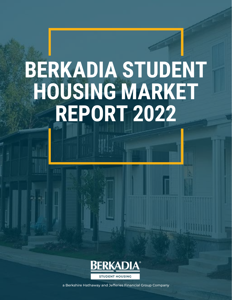# **BERKADIA STUDENT HOUSING MARKET REPORT 2022**



a Berkshire Hathaway and Jefferies Financial Group Company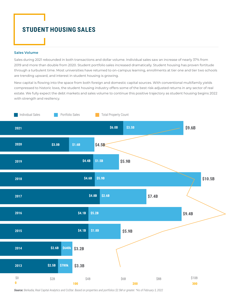# **STUDENT HOUSING SALES**

### **Sales Volume**

Sales during 2021 rebounded in both transactions and dollar volume. Individual sales saw an increase of nearly 37% from 2019 and more than double from 2020. Student portfolio sales increased dramatically. Student housing has proven fortitude through a turbulent time. Most universities have returned to on-campus learning, enrollments at tier one and tier two schools are trending upward, and interest in student housing is growing.

New capital is flowing into the space from both foreign and domestic capital sources. With conventional multifamily yields compressed to historic lows, the student housing industry offers some of the best risk-adjusted returns in any sector of real estate. We fully expect the debt markets and sales volume to continue this positive trajectory as student housing begins 2022 with strength and resiliency.



*Source: Berkadia; Real Capital Analytics and CoStar. Based on properties and portfolios \$2.5M or greater. \*As of February 3, 2022*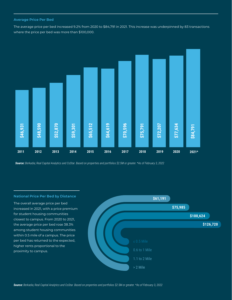### **Average Price Per Bed**

The average price per bed increased 9.2% from 2020 to \$84,791 in 2021. This increase was underpinned by 83 transactions where the price per bed was more than \$100,000.



*Source: Berkadia; Real Capital Analytics and CoStar. Based on properties and portfolios \$2.5M or greater. \*As of February 3, 2022* 

### **National Price Per Bed by Distance**

The overall average price per bed increased in 2021, with a price premium for student housing communities closest to campus. From 2020 to 2021, the average price per bed rose 38.3% among student housing communities within 0.5 mile of a campus. The price per bed has returned to the expected, higher rents proportional to the proximity to campus.

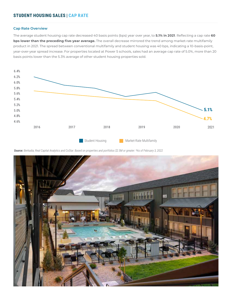# **STUDENT HOUSING SALES | CAP RATE**

### **Cap Rate Overview**

The average student housing cap rate decreased 40 basis points (bps) year over year, to **5.1% in 2021**. Reflecting a cap rate **60 bps lower than the preceding five-year average.** The overall decrease mirrored the trend among market-rate multifamily product in 2021. The spread between conventional multifamily and student housing was 40 bps, indicating a 10-basis-point, year-over-year spread increase. For properties located at Power 5 schools, sales had an average cap rate of 5.0%, more than 20 basis points lower than the 5.3% average of other student housing properties sold.



Student Housing **Market-Rate Multifamily** 

*Source: Berkadia; Real Capital Analytics and CoStar. Based on properties and portfolios \$2.5M or greater. \*As of February 3, 2022* 

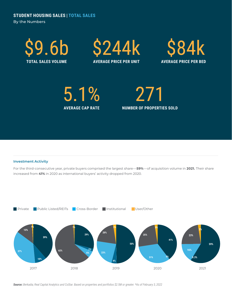By the Numbers







5.1% **AVERAGE CAP RATE**

271 **NUMBER OF PROPERTIES SOLD**

### **Investment Activity**

For the third-consecutive year, private buyers comprised the largest share—**59%**—of acquisition volume in **2021.** Their share increased from **41%** in 2020 as international buyers' activity dropped from 2020.



*Source: Berkadia; Real Capital Analytics and CoStar. Based on properties and portfolios \$2.5M or greater. \*As of February 3, 2022*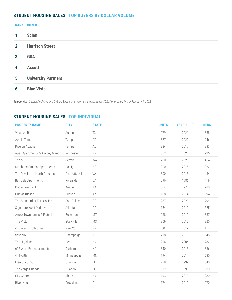# **STUDENT HOUSING SALES | TOP BUYERS BY DOLLAR VOLUME**

|                | <b>RANK BUYER</b>          |
|----------------|----------------------------|
| 1              | <b>Scion</b>               |
| $\mathbf{2}$   | <b>Harrison Street</b>     |
| $\mathbf{3}$   | <b>GSA</b>                 |
| 4              | <b>Ascott</b>              |
| $5\phantom{a}$ | <b>University Partners</b> |
| 6              | <b>Blue Vista</b>          |

*Source: Real Capital Analytics and CoStar. Based on properties and portfolios \$2.5M or greater. \*As of February 3, 2022* 

# **STUDENT HOUSING SALES | TOP INDIVIDUAL**

| <b>PROPERTY NAME</b>           | <b>CITY</b>     | <b>STATE</b>           | <b>UNITS</b> | <b>YEAR BUILT</b> | <b>BEDS</b> |
|--------------------------------|-----------------|------------------------|--------------|-------------------|-------------|
| Villas on Rio                  | Austin          | TX                     | 279          | 2021              | 858         |
| Apollo Tempe                   | Tempe           | AZ                     | 327          | 2020              | 946         |
| Rise on Apache                 | Tempe           | AZ                     | 384          | 2017              | 833         |
| Apex Apartments @ Colony Manor | Rochester       | NY                     | 382          | 2021              | 935         |
| The M                          | Seattle         | <b>WA</b>              | 230          | 2020              | 464         |
| Stanhope Student Apartments    | Raleigh         | NC                     | 300          | 2015              | 822         |
| The Pavilion at North Grounds  | Charlottesville | VA                     | 300          | 2013              | 434         |
| Berkdale Apartments            | Riverside       | CA                     | 296          | 1986              | 419         |
| Dobie Twenty21                 | Austin          | TX                     | 504          | 1974              | 980         |
| Hub at Tucson                  | Tucson          | AZ                     | 168          | 2014              | 594         |
| The Standard at Fort Collins   | Fort Collins    | $\rm CO$               | 237          | 2020              | 794         |
| Signature West Midtown         | Atlanta         | GA                     | 184          | 2019              | 525         |
| Arrow Townhomes & Flats II     | Bozeman         | MT                     | 268          | 2019              | 887         |
| The Vista                      | Starkville      | <b>MS</b>              | 309          | 2019              | 820         |
| 415 West 120th Street          | New York        | NY                     | 80           | 2019              | 153         |
| Seven07                        | Champaign       | $\mathsf{IL}$          | 218          | 2019              | 548         |
| The Highlands                  | Reno            | $\mathsf{NV}$          | 216          | 2004              | 732         |
| 605 West End Apartments        | Durham          | <b>NC</b>              | 340          | 2013              | 386         |
| 44 North                       | Minneapolis     | <b>MN</b>              | 194          | 2014              | 630         |
| Mercury 3100                   | Orlando         | FL.                    | 228          | 1999              | 840         |
| The Verge Orlando              | Orlando         | FL                     | 312          | 1999              | 930         |
| City Centre                    | Ithaca          | <b>NY</b>              | 193          | 2018              | 230         |
| River House                    | Providence      | $\mathsf{R}\mathsf{I}$ | 174          | 2019              | 270         |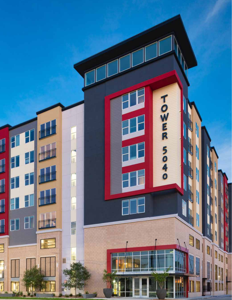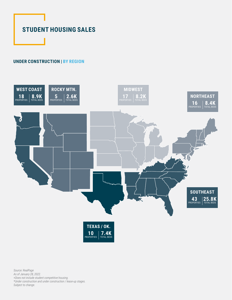**STUDENT HOUSING SALES**

# **UNDER CONSTRUCTION | BY REGION**



*Source: RealPage As of January 28, 2022. +Does not include student competitive housing. \*Under construction and under construction / lease-up stages. Subject to change.*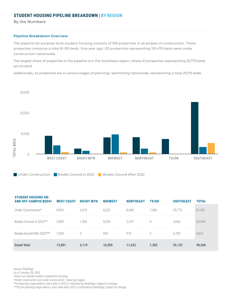## **STUDENT HOUSING PIPELINE BREAKDOWN | BY REGION**

By the Numbers

### **Pipeline Breakdown Overview**

The pipeline for purpose-built student housing consists of 109 properties in all phases of construction. These properties comprise a total 61,391 beds. One year ago, 215 properties representing 101,470 beds were under construction nationwide.

The largest share of properties in the pipeline is in the Southeast region, where 43 properties representing 25,775 beds are located.

Additionally, 42 properties are in various stages of planning / permitting nationwide, representing a total 29,175 beds.



| <b>STUDENT HOUSING ON-</b><br><b>AND OFF-CAMPUS BEDS+</b> | <b>WEST COAST</b> | <b>ROCKY MTN</b> | <b>MIDWEST</b> | <b>NORTHEAST</b> | <b>TX/OK</b> | <b>SOUTHEAST</b> | <b>TOTAL</b> |
|-----------------------------------------------------------|-------------------|------------------|----------------|------------------|--------------|------------------|--------------|
| Under Construction*                                       | 8.992             | 2.619            | 8.222          | 8,400            | 7,383        | 25.775           | 61,391       |
| Breaks Ground in 2022**                                   | 3.809             | 1.500            | 9,334          | 2,247            | $\theta$     | 3,654            | 20,544       |
| Breaks Ground After 2022***                               | 1.000             | $\cup$           | 953            | 975              | $\theta$     | 5.703            | 8,631        |
| <b>Grand Total</b>                                        | 13,801            | 4,119            | 18,509         | 11,622           | 7,383        | 35,132           | 90,566       |

*Source: RealPage* 

*As of January 28, 2022.* 

*+Does not include student competitive housing.* 

*\*Under construction and under construction / lease-up stages.* 

*\*\*In planning stage where a start date in 2022 is indicated by RealPage; subject to change.* 

*\*\*\*In pre-planning stage where a start date after 2022 is indicated by RealPage; subject to change.*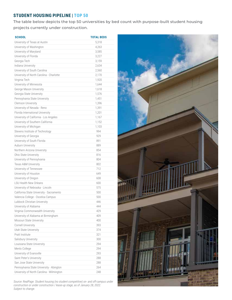# **STUDENT HOUSING PIPELINE | TOP 50**

The table below depicts the top 50 universities by bed count with purpose-built student housing projects currently under construction.

| <b>SCHOOL</b>                             | <b>TOTAL BEDS</b> |
|-------------------------------------------|-------------------|
| University of Texas at Austin             | 5,318             |
| University of Washington                  | 4,263             |
| University of Maryland                    | 3,585             |
| University of Florida                     | 3,227             |
| Georgia Tech                              | 3,159             |
| Indiana University                        | 2,634             |
| University of South Carolina              | 2,560             |
| University of North Carolina - Charlotte  | 2,170             |
| Virginia Tech                             | 1,920             |
| University of Minnesota                   | 1,644             |
| George Mason University                   | 1,618             |
| Georgia State University                  | 1,576             |
| Pennsylvania State University             | 1,451             |
| <b>Clemson University</b>                 | 1,396             |
| University of Nevada - Reno               | 1,391             |
| Florida International University          | 1,201             |
| University of California - Los Angeles    | 1,167             |
| University of Southern California         | 1,152             |
| University of Michigan                    | 1,103             |
| Stevens Institute of Technology           | 994               |
| University of Georgia                     | 929               |
| University of South Florida               | 891               |
| Auburn University                         | 889               |
| Northern Arizona University               | 854               |
| Ohio State University                     | 816               |
| University of Pennsylvania                | 804               |
| Texas A&M University                      | 802               |
| University of Tennessee                   | 712               |
| University of Houston                     | 649               |
| University of Oregon                      | 608               |
| <b>LSU Health New Orleans</b>             | 600               |
| University of Nebraska - Lincoln          | 575               |
| California State University - Sacramento  | 500               |
| Valencia College - Osceloa Campus         | 500               |
| Lubbock Christian University              | 446               |
| University of Alabama                     | 444               |
| Virginia Commonwealth University          | 429               |
| University of Alabama at Birmingham       | 409               |
| Missouri State University                 | 400               |
| Cornell University                        | 393               |
| Utah State University                     | 374               |
| Pratt Institute                           | 321               |
| Salisbury University                      | 300               |
| Louisiana State University                | 294               |
| Menlo College                             | 294               |
| University of Evansville                  | 293               |
| Saint Peter's University                  | 288               |
| San Jose State University                 | 288               |
| Pennsylvania State University - Abington  | 264               |
| University of North Carolina - Wilmington | 248               |

*Source: RealPage. Student housing (no student competitive) on- and off-campus under construction or under construction / lease-up stage, as of January 28, 2022. Subject to change.*

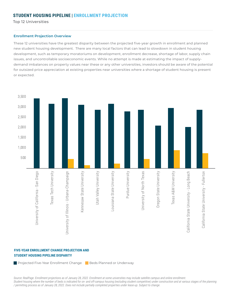# **STUDENT HOUSING PIPELINE | ENROLLMENT PROJECTION**

Top 12 Universities

### **Enrollment Projection Overview**

These 12 universities have the greatest disparity between the projected five-year growth in enrollment and planned new student housing development. There are many local factors that can lead to slowdown in student housing development, such as temporary moratoriums on development, enrollment decrease, shortage of labor, supply chain issues, and uncontrollable socioeconomic events. While no attempt is made at estimating the impact of supplydemand imbalances on property values near these or any other universities, investors should be aware of the potential for outsized price appreciation at existing properties near universities where a shortage of student housing is present or expected.



### **FIVE-YEAR ENROLLMENT CHANGE PROJECTION AND STUDENT HOUSING PIPELINE DISPARITY**

**Projected Five-Year Enrollment Change Beds Planned or Underway** 

*Source: RealPage. Enrollment projections as of January 28, 2022. Enrollment at some universities may include satellite campus and online enrollment. Student housing where the number of beds is indicated for on- and off-campus housing (excluding student competitive) under construction and at various stages of the planning*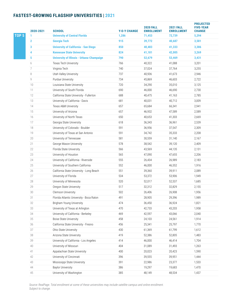# **FASTEST-GROWING FLAGSHIP UNIVERSITIES | 2021**

**TO** 

| 2020-2021               | <b>SCHOOL</b>                                    | <b>Y-O-Y CHANGE</b> | <b>2020 FALL</b><br><b>ENROLLMENT</b> | <b>2021 FALL</b><br><b>ENROLLMENT</b> | <b>PROJECTED</b><br><b>FIVE-YEAR</b><br><b>CHANGE</b> |
|-------------------------|--------------------------------------------------|---------------------|---------------------------------------|---------------------------------------|-------------------------------------------------------|
| 1                       | <b>University of Central Florida</b>             | 1,286               | 71,453                                | 72,739                                | 5,294                                                 |
| $\overline{\mathbf{2}}$ | <b>Georgia Tech</b>                              | 915                 | 39,772                                | 40,687                                | 3,581                                                 |
| 3                       | <b>University of California - San Diego</b>      | 850                 | 40,483                                | 41,333                                | 3,386                                                 |
| 4                       | <b>Kennesaw State University</b>                 | 824                 | 41,181                                | 42,005                                | 3,269                                                 |
| 5                       | <b>University of Illinois - Urbana-Champaign</b> | 790                 | 52,679                                | 53,469                                | 3,431                                                 |
| 6                       | <b>Texas Tech University</b>                     | 766                 | 40,322                                | 41,088                                | 3,201                                                 |
| $\overline{7}$          | Virginia Tech                                    | 740                 | 37,024                                | 37,764                                | 3,255                                                 |
| 8                       | Utah Valley University                           | 737                 | 40,936                                | 41,673                                | 2,946                                                 |
| 9                       | Purdue University                                | 734                 | 45,869                                | 46,603                                | 2,722                                                 |
| 10                      | Louisiana State University                       | 720                 | 34,290                                | 35,010                                | 3,125                                                 |
| 11                      | University of South Florida                      | 690                 | 46,000                                | 46,690                                | 2,730                                                 |
| 12                      | California State University - Fullerton          | 688                 | 40,475                                | 41,163                                | 2,785                                                 |
| 13                      | University of California - Davis                 | 681                 | 40,031                                | 40,712                                | 3,009                                                 |
| 14                      | Texas A&M University                             | 657                 | 65,684                                | 66,341                                | 2,941                                                 |
| 15                      | University of Arizona                            | 657                 | 46,932                                | 47,589                                | 2,589                                                 |
| 16                      | University of North Texas                        | 650                 | 40,653                                | 41,303                                | 2,669                                                 |
| 17                      | Georgia State University                         | 618                 | 36,343                                | 36,961                                | 2,539                                                 |
| 18                      | University of Colorado - Boulder                 | 591                 | 36,956                                | 37,547                                | 2,309                                                 |
| 19                      | University of Texas at San Antonio               | 591                 | 34,742                                | 35,333                                | 2,208                                                 |
| 20                      | University of Tennessee                          | 581                 | 30,559                                | 31,140                                | 2,167                                                 |
| 21                      | George Mason University                          | 578                 | 38,542                                | 39,120                                | 2,409                                                 |
| 22                      | Florida State University                         | 566                 | 43,569                                | 44,135                                | 2,131                                                 |
| 23                      | University of Houston                            | 565                 | 47,090                                | 47,655                                | 2,206                                                 |
| 24                      | University of California - Riverside             | 555                 | 26,434                                | 26,989                                | 2,183                                                 |
| 25                      | University of Southern California                | 552                 | 46,000                                | 46,552                                | 1,916                                                 |
| 26                      | California State University - Long Beach         | 551                 | 39,360                                | 39,911                                | 2,089                                                 |
| 27                      | University of Florida                            | 534                 | 53,372                                | 53,906                                | 1,949                                                 |
| 28                      | University of Minnesota                          | 520                 | 52,017                                | 52,537                                | 1,685                                                 |
| 29                      | Oregon State University                          | 517                 | 32,312                                | 32,829                                | 2,155                                                 |
| 30                      | Clemson University                               | 502                 | 26,406                                | 26,908                                | 1,956                                                 |
| 31                      | Florida Atlantic University - Boca Raton         | 491                 | 28,905                                | 29,396                                | 1,989                                                 |
| 32                      | Brigham Young University                         | 474                 | 36,450                                | 36,924                                | 1,821                                                 |
| 33                      | University of Texas at Arlington                 | 470                 | 42,733                                | 43,203                                | 1,958                                                 |
| 34                      | University of California - Berkeley              | 469                 | 42,597                                | 43,066                                | 2,040                                                 |
| 35                      | <b>Boise State University</b>                    | 458                 | 24,103                                | 24,561                                | 1,914                                                 |
| 36                      | California State University - Fresno             | 456                 | 25,341                                | 25,797                                | 1,770                                                 |
| 37                      | Ohio State University                            | 430                 | 61,369                                | 61,799                                | 1,612                                                 |
| 38                      | Arizona State University                         | 419                 | 52,386                                | 52,805                                | 1,483                                                 |
| 39                      | University of California - Los Angeles           | 414                 | 46,000                                | 46,414                                | 1,704                                                 |
| $40\,$                  | University of Missouri                           | 404                 | 31,089                                | 31,493                                | 1,263                                                 |
| 41                      | Appalachian State University                     | 400                 | 20,023                                | 20,423                                | 1,590                                                 |
| 42                      | University of Cincinnati                         | 396                 | 39,555                                | 39,951                                | 1,444                                                 |
| 43                      | Mississippi State University                     | 391                 | 22,986                                | 23,377                                | 1,533                                                 |
| $44\,$                  | <b>Baylor University</b>                         | 386                 | 19,297                                | 19,683                                | 1,470                                                 |

University of Washington 385 48,149 48,534 1,437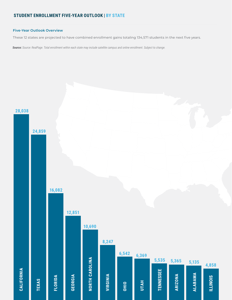# **STUDENT ENROLLMENT FIVE-YEAR OUTLOOK | BY STATE**

### **Five-Year Outlook Overview**

These 12 states are projected to have combined enrollment gains totaling 134,571 students in the next five years.

*Source: Source: RealPage. Total enrollment within each state may include satellite campus and online enrollment. Subject to change.*

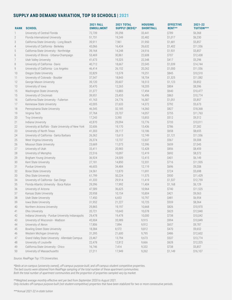# **SUPPLY AND DEMAND VARIATION, TOP 50 SCHOOLS | 2021**

| <b>RANK</b>    | <b>SCHOOL</b>                                        | <b>2021 FALL</b><br><b>ENROLLMENT</b> | <b>2021 TOTAL</b><br><b>SUPPLY (BEDS)*</b> | <b>HOUSING</b><br><b>SHORTFALL</b> | <b>EFFECTIVE</b><br><b>RENT**</b> | 2021-22<br><b>TUITION***</b> |
|----------------|------------------------------------------------------|---------------------------------------|--------------------------------------------|------------------------------------|-----------------------------------|------------------------------|
| $\mathbb{1}$   | University of Central Florida                        | 72,739                                | 39,298                                     | 33,441                             | \$789                             | \$6,368                      |
| $\mathbf{2}$   | Florida International University                     | 51,731                                | 19,249                                     | 32,482                             | \$1,017                           | \$6,230                      |
| 3              | California State University - Long Beach             | 39,911                                | 7,961                                      | 31,950                             | \$1,681                           | \$5,857                      |
| $\overline{4}$ | University of California - Berkeley                  | 43,066                                | 16,434                                     | 26,632                             | \$1,402                           | \$11,556                     |
| 5              | California State University - Northridge             | 39,164                                | 14,248                                     | 24,916                             | \$1,931                           | \$5,857                      |
| 6              | University of Illinois - Urbana-Champaign            | 53,469                                | 30,861                                     | 22,608                             | \$707                             | \$12,438                     |
| 7              | Utah Valley University                               | 41,673                                | 19,325                                     | 22,348                             | \$417                             | \$5,296                      |
| 8              | University of California - Davis                     | 40,712                                | 18,667                                     | 22,045                             | \$1,039                           | \$14,744                     |
| 9              | University of California - Los Angeles               | 46,414                                | 26,152                                     | 20,262                             | \$1,000                           | \$11,556                     |
| 10             | Oregon State University                              | 32,829                                | 13,578                                     | 19,251                             | \$845                             | \$10,510                     |
| 11             | University of Colorado - Boulder                     | 37,547                                | 18,843                                     | 18,704                             | \$1,325                           | \$11,082                     |
| 12             | George Mason University                              | 39,120                                | 20,607                                     | 18,513                             | \$1,123                           | \$9,852                      |
| 13             | University of Iowa                                   | 30,470                                | 12,265                                     | 18,205                             | \$804                             | \$8,396                      |
| 15             | Washington State University                          | 31,377                                | 13,883                                     | 17,494                             | \$640                             | \$10,477                     |
| 15             | University of Cincinnati                             | 39,951                                | 23,455                                     | 16,496                             | \$863                             | \$10,774                     |
| 16             | California State University - Fullerton              | 41,163                                | 24,776                                     | 16,387                             | \$1,051                           | \$5,857                      |
| 17             | Kennesaw State University                            | 42,005                                | 27,633                                     | 14,372                             | \$792                             | \$5,673                      |
| 18             | Pennsylvania State University                        | 46,545                                | 32,185                                     | 14,360                             | \$827                             | \$18,368                     |
| 19             | Virginia Tech                                        | 37,764                                | 23,707                                     | 14,057                             | \$755                             | \$11,763                     |
| 20             | Troy University                                      | 17,243                                | 3,390                                      | 13,853                             | \$512                             | \$9,312                      |
| 21             | Indiana University                                   | 42,870                                | 29,094                                     | 13,776                             | \$733                             | \$10,011                     |
| 22             | University at Buffalo - State University of New York | 32,606                                | 19,170                                     | 13,436                             | \$786                             | \$7,282                      |
| 23             | University of North Texas                            | 41,303                                | 28,117                                     | 13,186                             | \$658                             | \$8,655                      |
| 24             | University of California - Santa Barbara             | 26,362                                | 13,613                                     | 12,749                             | \$1,121                           | \$11,556                     |
| 25             | West Virginia University                             | 26,374                                | 13,737                                     | 12,637                             | \$567                             | \$9,308                      |
| 26             | Missouri State University                            | 23,669                                | 11,073                                     | 12,596                             | \$659                             | \$7,045                      |
| 27             | University of Utah                                   | 33,411                                | 20,983                                     | 12,428                             | \$856                             | \$8,459                      |
| 28             | University of Memphis                                | 22,516                                | 10,097                                     | 12,419                             | \$692                             | \$8,372                      |
| 29             | Brigham Young University                             | 36,924                                | 24,509                                     | 12,415                             | \$401                             | \$6,149                      |
| 30             | Kent State University                                | 27,181                                | 14,850                                     | 12,331                             | \$716                             | \$11,935                     |
| 31             | Purdue University                                    | 46,603                                | 34,484                                     | 12,119                             | \$696                             | \$9,208                      |
| 32             | <b>Boise State University</b>                        | 24,561                                | 12,870                                     | 11,691                             | \$724                             | \$5,698                      |
| 33             | Ohio State University                                | 61,799                                | 50,224                                     | 11,575                             | \$930                             | \$11,429                     |
| 34             | University of California - San Diego                 | 41,333                                | 29,914                                     | 11,419                             | \$1,537                           | \$12,759                     |
| 35             | Florida Atlantic University - Boca Raton             | 29,396                                | 17,992                                     | 11,404                             | \$1,168                           | \$6,129                      |
| 36             | University of Arizona                                | 47,589                                | 36,625                                     | 10,964                             | \$740                             | \$11,525                     |
| 37             | Kansas State University                              | 20,958                                | 10,154                                     | 10,804                             | \$421                             | \$9,563                      |
| 38             | Utah State University                                | 17,450                                | 6,653                                      | 10,797                             | \$481                             | \$6,954                      |
| 39             | Iowa State University                                | 31,952                                | 21,227                                     | 10,725                             | \$559                             | \$8,364                      |
| 40             | Northern Arizona University                          | 29,865                                | 19,197                                     | 10,668                             | \$826                             | \$10,970                     |
| 41             | Ohio University                                      | 20,721                                | 10,643                                     | 10,078                             | \$623                             | \$12,840                     |
| 42             | Indiana University - Purdue University Indianapolis  | 29,478                                | 19,478                                     | 10,000                             | \$738                             | \$10,042                     |
| 43             | University of Wisconsin - Madison                    | 45,904                                | 35,989                                     | 9,915                              | \$994                             | \$10,849                     |
| 44             | University of Akron                                  | 17,806                                | 7,894                                      | 9,912                              | \$657                             | \$9,787                      |
| 45             | Bowling Green State University                       | 18,384                                | 8,572                                      | 9,812                              | \$470                             | \$9,652                      |
| 46             | Western Michigan University                          | 31,395                                | 21,600                                     | 9,795                              | \$486                             | \$12,602                     |
| 47             | Grand Valley State University - Allendale Campus     | 23,467                                | 13,794                                     | 9,673                              | \$537                             | \$13,774                     |
| 48             | University of Louisville                             | 22,478                                | 12,812                                     | 9,666                              | \$628                             | \$12,325                     |
| 49             | California State University - Chico                  | 16,746                                | 7,414                                      | 9,332                              | \$738                             | \$5,857                      |
| 50             | University of Massachusetts                          | 27,211                                | 17,949                                     | 9,262                              | \$1,149                           | \$16,107                     |

*Source: RealPage Top 175 Universities.* 

*\*Beds at on-campus (university owned), off-campus purpose-built, and off-campus student competitive properties. The bed counts were obtained from RealPage sampling of the total number of these apartment communities. Both the total number of apartment communities and the proportion of properties sampled vary by market.*

*\*\*Weighted average monthly effective rent per bed from September 2020 to August 2021. Only includes off-campus purpose-built (not student-competitive) properties that have been stabilized for two or more consecutive periods.*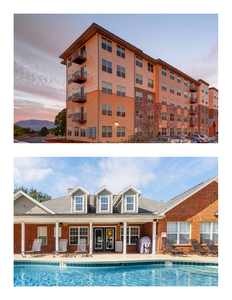